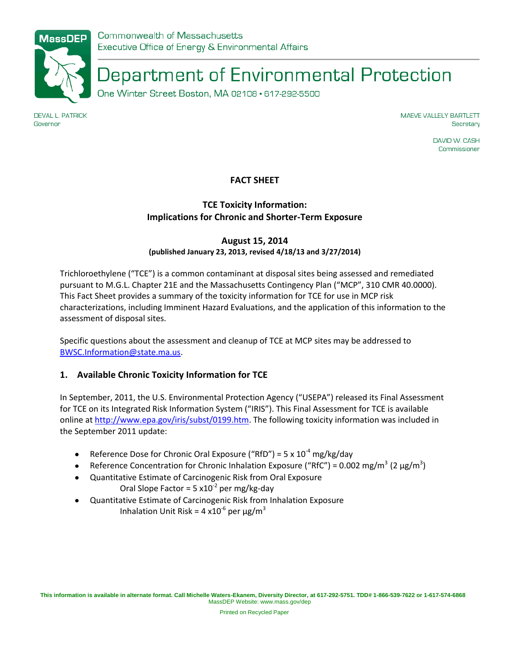

Department of Environmental Protection

One Winter Street Boston, MA 02108 · 617-292-5500

**DEVAL L. PATRICK** Governor

MAEVE VALLELY BARTLETT Secretary

> DAVID W. CASH Commissioner

# **FACT SHEET**

# **TCE Toxicity Information: Implications for Chronic and Shorter-Term Exposure**

# **August 15, 2014 (published January 23, 2013, revised 4/18/13 and 3/27/2014)**

Trichloroethylene ("TCE") is a common contaminant at disposal sites being assessed and remediated pursuant to M.G.L. Chapter 21E and the Massachusetts Contingency Plan ("MCP", 310 CMR 40.0000). This Fact Sheet provides a summary of the toxicity information for TCE for use in MCP risk characterizations, including Imminent Hazard Evaluations, and the application of this information to the assessment of disposal sites.

Specific questions about the assessment and cleanup of TCE at MCP sites may be addressed to [BWSC.Information@state.ma.us.](mailto:BWSC.Information@state.ma.us)

# **1. Available Chronic Toxicity Information for TCE**

In September, 2011, the U.S. Environmental Protection Agency ("USEPA") released its Final Assessment for TCE on its Integrated Risk Information System ("IRIS"). This Final Assessment for TCE is available online at [http://www.epa.gov/iris/subst/0199.htm.](http://www.epa.gov/iris/subst/0199.htm) The following toxicity information was included in the September 2011 update:

- Reference Dose for Chronic Oral Exposure ("RfD") = 5 x  $10^{-4}$  [mg/kg/day](http://www.epa.gov/iris/subst/0199.htm#oralrfd)
- [Reference Concentration for Chronic Inhalation Exposure \(](http://www.epa.gov/iris/subst/0199.htm#refinhal)"RfC") [= 0.002 mg/m](http://www.epa.gov/iris/subst/0199.htm#inhalrfc)<sup>3</sup> (2  $\mu$ g/m<sup>3</sup>)
- Quantitative Estimate of Carcinogenic Risk from Oral Exposure  $\bullet$ Oral Slope Factor =  $5 \times 10^{-2}$  [per mg/kg-day](http://www.epa.gov/iris/subst/0199.htm#quaoral)
- Quantitative Estimate of Carcinogenic Risk from Inhalation Exposure  $\bullet$ Inhalation Unit Risk = 4 x10<sup>-6</sup> per  $\mu$ g/m<sup>3</sup>

Printed on Recycled Paper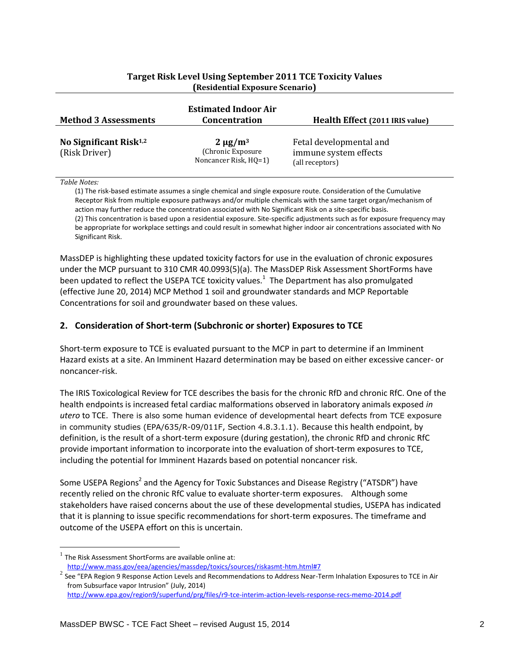| <b>Method 3 Assessments</b>                | <b>Estimated Indoor Air</b><br><b>Concentration</b>          | Health Effect (2011 IRIS value)                                     |
|--------------------------------------------|--------------------------------------------------------------|---------------------------------------------------------------------|
| No Significant Risk $1,2$<br>(Risk Driver) | $2 \mu g/m^3$<br>(Chronic Exposure)<br>Noncancer Risk, HQ=1) | Fetal developmental and<br>immune system effects<br>(all receptors) |

#### **Target Risk Level Using September 2011 TCE Toxicity Values (Residential Exposure Scenario)**

#### *Table Notes:*

 $\overline{a}$ 

(1) The risk-based estimate assumes a single chemical and single exposure route. Consideration of the Cumulative Receptor Risk from multiple exposure pathways and/or multiple chemicals with the same target organ/mechanism of action may further reduce the concentration associated with No Significant Risk on a site-specific basis. (2) This concentration is based upon a residential exposure. Site-specific adjustments such as for exposure frequency may be appropriate for workplace settings and could result in somewhat higher indoor air concentrations associated with No Significant Risk.

MassDEP is highlighting these updated toxicity factors for use in the evaluation of chronic exposures under the MCP pursuant to 310 CMR 40.0993(5)(a). The MassDEP Risk Assessment ShortForms have been updated to reflect the USEPA TCE toxicity values.<sup>1</sup> The Department has also promulgated (effective June 20, 2014) MCP Method 1 soil and groundwater standards and MCP Reportable Concentrations for soil and groundwater based on these values.

#### **2. Consideration of Short-term (Subchronic or shorter) Exposures to TCE**

Short-term exposure to TCE is evaluated pursuant to the MCP in part to determine if an Imminent Hazard exists at a site. An Imminent Hazard determination may be based on either excessive cancer- or noncancer-risk.

The IRIS Toxicological Review for TCE describes the basis for the chronic RfD and chronic RfC. One of the health endpoints is increased fetal cardiac malformations observed in laboratory animals exposed *in utero* to TCE. There is also some human evidence of developmental heart defects from TCE exposure in community studies (EPA/635/R-09/011F, Section 4.8.3.1.1). Because this health endpoint, by definition, is the result of a short-term exposure (during gestation), the chronic RfD and chronic RfC provide important information to incorporate into the evaluation of short-term exposures to TCE, including the potential for Imminent Hazards based on potential noncancer risk.

Some USEPA Regions<sup>2</sup> and the Agency for Toxic Substances and Disease Registry ("ATSDR") have recently relied on the chronic RfC value to evaluate shorter-term exposures. Although some stakeholders have raised concerns about the use of these developmental studies, USEPA has indicated that it is planning to issue specific recommendations for short-term exposures. The timeframe and outcome of the USEPA effort on this is uncertain.

 $<sup>1</sup>$  The Risk Assessment ShortForms are available online at:</sup> <http://www.mass.gov/eea/agencies/massdep/toxics/sources/riskasmt-htm.html#7>

<sup>&</sup>lt;sup>2</sup> See "EPA Region 9 Response Action Levels and Recommendations to Address Near-Term Inhalation Exposures to TCE in Air from Subsurface vapor Intrusion" (July, 2014)

<http://www.epa.gov/region9/superfund/prg/files/r9-tce-interim-action-levels-response-recs-memo-2014.pdf>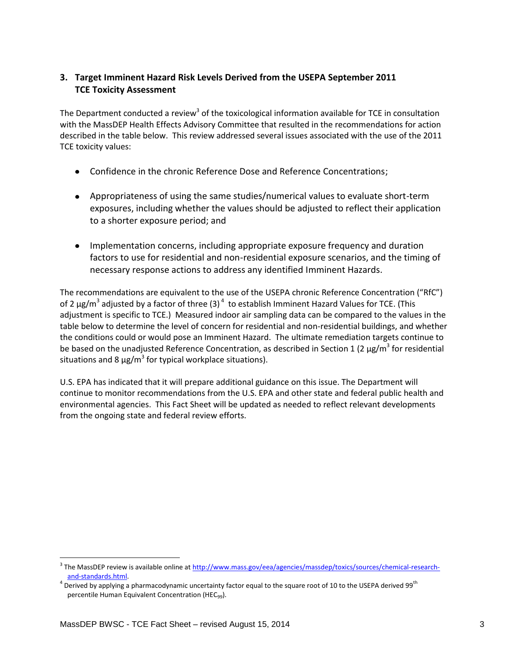# **3. Target Imminent Hazard Risk Levels Derived from the USEPA September 2011 TCE Toxicity Assessment**

The Department conducted a review<sup>3</sup> of the toxicological information available for TCE in consultation with the MassDEP Health Effects Advisory Committee that resulted in the recommendations for action described in the table below. This review addressed several issues associated with the use of the 2011 TCE toxicity values:

- Confidence in the chronic Reference Dose and Reference Concentrations;
- Appropriateness of using the same studies/numerical values to evaluate short-term exposures, including whether the values should be adjusted to reflect their application to a shorter exposure period; and
- Implementation concerns, including appropriate exposure frequency and duration factors to use for residential and non-residential exposure scenarios, and the timing of necessary response actions to address any identified Imminent Hazards.

The recommendations are equivalent to the use of the USEPA chronic Reference Concentration ("RfC") of 2  $\mu$ g/m<sup>3</sup> adjusted by a factor of three (3)<sup>4</sup> to establish Imminent Hazard Values for TCE. (This adjustment is specific to TCE.) Measured indoor air sampling data can be compared to the values in the table below to determine the level of concern for residential and non-residential buildings, and whether the conditions could or would pose an Imminent Hazard. The ultimate remediation targets continue to be based on the unadjusted Reference Concentration, as described in Section 1 (2  $\mu$ g/m<sup>3</sup> for residential situations and 8  $\mu$ g/m<sup>3</sup> for typical workplace situations).

U.S. EPA has indicated that it will prepare additional guidance on this issue. The Department will continue to monitor recommendations from the U.S. EPA and other state and federal public health and environmental agencies. This Fact Sheet will be updated as needed to reflect relevant developments from the ongoing state and federal review efforts.

 $\overline{a}$ 

<sup>&</sup>lt;sup>3</sup> The MassDEP review is available online at <u>http://www.mass.gov/eea/agencies/massdep/toxics/sources/chemical-research-</u> [and-standards.html.](http://www.mass.gov/eea/agencies/massdep/toxics/sources/chemical-research-and-standards.html)

 $^4$  Derived by applying a pharmacodynamic uncertainty factor equal to the square root of 10 to the USEPA derived 99<sup>th</sup> percentile Human Equivalent Concentration (HEC<sub>99</sub>).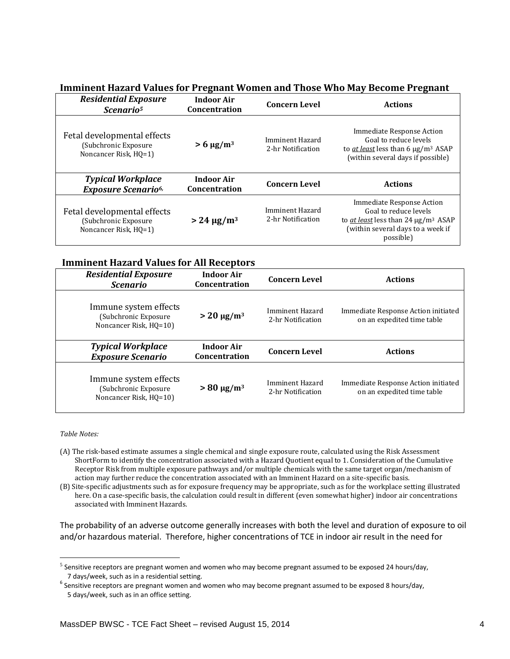# **Imminent Hazard Values for Pregnant Women and Those Who May Become Pregnant**

| <b>Residential Exposure</b><br>Scenario <sup>5</sup>                          | <b>Indoor Air</b><br>Concentration | <b>Concern Level</b>                 | <b>Actions</b>                                                                                                                                         |
|-------------------------------------------------------------------------------|------------------------------------|--------------------------------------|--------------------------------------------------------------------------------------------------------------------------------------------------------|
| Fetal developmental effects<br>(Subchronic Exposure)<br>Noncancer Risk, HQ=1) | $> 6 \mu g/m^3$                    | Imminent Hazard<br>2-hr Notification | Immediate Response Action<br>Goal to reduce levels<br>to <i>at least</i> less than 6 $\mu$ g/m <sup>3</sup> ASAP<br>(within several days if possible)  |
| <b>Typical Workplace</b><br><b>Exposure Scenario</b> <sup>6,</sup>            | <b>Indoor Air</b><br>Concentration | <b>Concern Level</b>                 | <b>Actions</b>                                                                                                                                         |
| Fetal developmental effects<br>(Subchronic Exposure<br>Noncancer Risk, HQ=1)  | $> 24 \mu g/m^3$                   | Imminent Hazard<br>2-hr Notification | Immediate Response Action<br>Goal to reduce levels<br>to <i>at least</i> less than 24 $\mu$ g/m <sup>3</sup> ASAP<br>(within several days to a week if |

#### **Imminent Hazard Values for All Receptors**

| <b>Residential Exposure</b><br><i>Scenario</i>                           | <b>Indoor Air</b><br><b>Concentration</b> | <b>Concern Level</b>                 | <b>Actions</b>                                                    |
|--------------------------------------------------------------------------|-------------------------------------------|--------------------------------------|-------------------------------------------------------------------|
| Immune system effects<br>(Subchronic Exposure)<br>Noncancer Risk, HQ=10) | $> 20 \mu g/m^3$                          | Imminent Hazard<br>2-hr Notification | Immediate Response Action initiated<br>on an expedited time table |
| <b>Typical Workplace</b>                                                 | <b>Indoor Air</b>                         | <b>Concern Level</b>                 | <b>Actions</b>                                                    |
| <b>Exposure Scenario</b>                                                 | Concentration                             |                                      |                                                                   |

*Table Notes:*

 $\overline{a}$ 

- (A) The risk-based estimate assumes a single chemical and single exposure route, calculated using the Risk Assessment ShortForm to identify the concentration associated with a Hazard Quotient equal to 1. Consideration of the Cumulative Receptor Risk from multiple exposure pathways and/or multiple chemicals with the same target organ/mechanism of action may further reduce the concentration associated with an Imminent Hazard on a site-specific basis.
- (B) Site-specific adjustments such as for exposure frequency may be appropriate, such as for the workplace setting illustrated here. On a case-specific basis, the calculation could result in different (even somewhat higher) indoor air concentrations associated with Imminent Hazards.

The probability of an adverse outcome generally increases with both the level and duration of exposure to oil and/or hazardous material. Therefore, higher concentrations of TCE in indoor air result in the need for

 $^5$  Sensitive receptors are pregnant women and women who may become pregnant assumed to be exposed 24 hours/day, 7 days/week, such as in a residential setting.

 $^6$  Sensitive receptors are pregnant women and women who may become pregnant assumed to be exposed 8 hours/day, 5 days/week, such as in an office setting.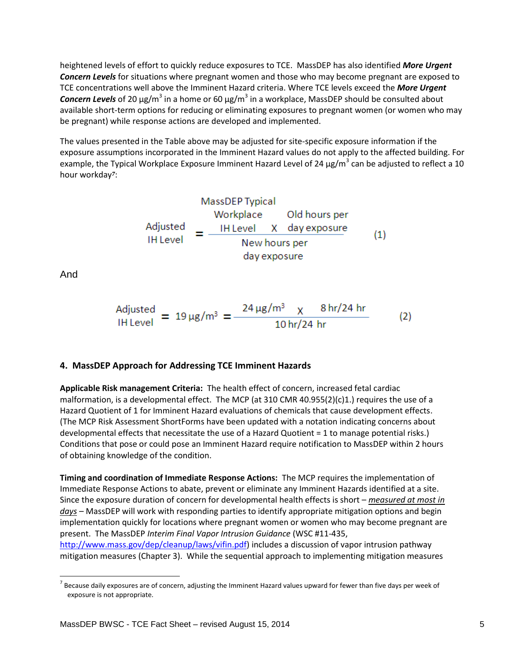heightened levels of effort to quickly reduce exposures to TCE. MassDEP has also identified *More Urgent Concern Levels* for situations where pregnant women and those who may become pregnant are exposed to TCE concentrations well above the Imminent Hazard criteria. Where TCE levels exceed the *More Urgent*  Concern Levels of 20 μg/m<sup>3</sup> in a home or 60 μg/m<sup>3</sup> in a workplace, MassDEP should be consulted about available short-term options for reducing or eliminating exposures to pregnant women (or women who may be pregnant) while response actions are developed and implemented.

The values presented in the Table above may be adjusted for site-specific exposure information if the exposure assumptions incorporated in the Imminent Hazard values do not apply to the affected building. For example, the Typical Workplace Exposure Imminent Hazard Level of 24  $\mu$ g/m<sup>3</sup> can be adjusted to reflect a 10 hour workday*7*:

$$
MassDEF
$$
 Typical  
Workplace  
Addious per  
Aljusted  
THEvel  

$$
= \frac{1 + 1}{1 + 1} = \frac{1}{1} \frac{1}{1} \frac{1}{1} \frac{1}{1} = \frac{1}{1} \frac{1}{1} \frac{1}{1} \frac{1}{1} = \frac{1}{1} \frac{1}{1} \frac{1}{1} \frac{1}{1} = \frac{1}{1} \frac{1}{1} \frac{1}{1} \frac{1}{1} = \frac{1}{1} \frac{1}{1} \frac{1}{1} \frac{1}{1} = \frac{1}{1} \frac{1}{1} \frac{1}{1} \frac{1}{1} = \frac{1}{1} \frac{1}{1} \frac{1}{1} \frac{1}{1} = \frac{1}{1} \frac{1}{1} \frac{1}{1} \frac{1}{1} = \frac{1}{1} \frac{1}{1} \frac{1}{1} \frac{1}{1} = \frac{1}{1} \frac{1}{1} \frac{1}{1} \frac{1}{1} = \frac{1}{1} \frac{1}{1} \frac{1}{1} \frac{1}{1} = \frac{1}{1} \frac{1}{1} \frac{1}{1} \frac{1}{1} = \frac{1}{1} \frac{1}{1} \frac{1}{1} \frac{1}{1} = \frac{1}{1} \frac{1}{1} \frac{1}{1} \frac{1}{1} = \frac{1}{1} \frac{1}{1} \frac{1}{1} \frac{1}{1} = \frac{1}{1} \frac{1}{1} \frac{1}{1} \frac{1}{1} = \frac{1}{1} \frac{1}{1} \frac{1}{1} \frac{1}{1} = \frac{1}{1} \frac{1}{1} \frac{1}{1} \frac{1}{1} = \frac{1}{1} \frac{1}{1} \frac{1}{1} \frac{1}{1} = \frac{1}{1} \frac{1}{1} \frac{1}{1} \frac{1}{1} = \frac{1}{1} \frac{1}{1} \frac{1}{1} \frac{1}{1} = \frac{1}{1} \frac{1}{1} \frac{1}{1} \frac{1}{1} = \frac{1}{1} \frac{1}{1} \frac{1}{1} \frac{1}{1} = \frac{1}{1} \frac{1}{1} \frac{1}{1} \frac{1}{1} = \frac{1}{1} \frac{1}{1} \frac{1
$$

And

 $\overline{a}$ 

# **4. MassDEP Approach for Addressing TCE Imminent Hazards**

**Applicable Risk management Criteria:** The health effect of concern, increased fetal cardiac malformation, is a developmental effect. The MCP (at 310 CMR 40.955(2)(c)1.) requires the use of a Hazard Quotient of 1 for Imminent Hazard evaluations of chemicals that cause development effects. (The MCP Risk Assessment ShortForms have been updated with a notation indicating concerns about developmental effects that necessitate the use of a Hazard Quotient = 1 to manage potential risks.) Conditions that pose or could pose an Imminent Hazard require notification to MassDEP within 2 hours of obtaining knowledge of the condition.

**Timing and coordination of Immediate Response Actions:** The MCP requires the implementation of Immediate Response Actions to abate, prevent or eliminate any Imminent Hazards identified at a site. Since the exposure duration of concern for developmental health effects is short – *measured at most in days* – MassDEP will work with responding parties to identify appropriate mitigation options and begin implementation quickly for locations where pregnant women or women who may become pregnant are present. The MassDEP *Interim Final Vapor Intrusion Guidance* (WSC #11-435, [http://www.mass.gov/dep/cleanup/laws/vifin.pdf\)](http://www.mass.gov/dep/cleanup/laws/vifin.pdf) includes a discussion of vapor intrusion pathway mitigation measures (Chapter 3). While the sequential approach to implementing mitigation measures

 $(2)$ 

 $^7$  Because daily exposures are of concern, adjusting the Imminent Hazard values upward for fewer than five days per week of exposure is not appropriate.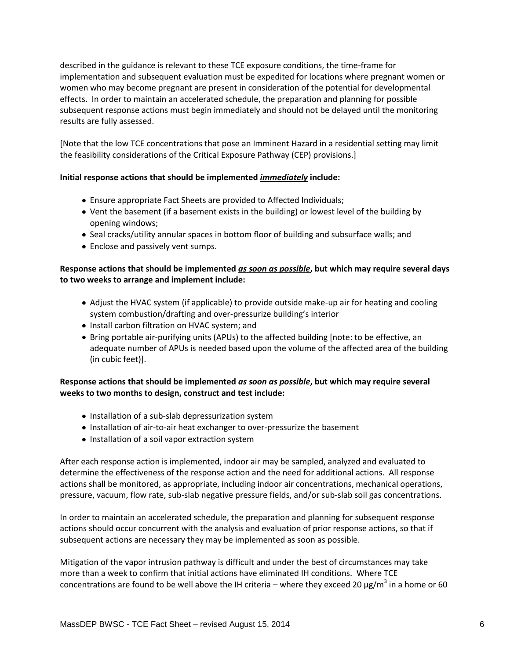described in the guidance is relevant to these TCE exposure conditions, the time-frame for implementation and subsequent evaluation must be expedited for locations where pregnant women or women who may become pregnant are present in consideration of the potential for developmental effects. In order to maintain an accelerated schedule, the preparation and planning for possible subsequent response actions must begin immediately and should not be delayed until the monitoring results are fully assessed.

[Note that the low TCE concentrations that pose an Imminent Hazard in a residential setting may limit the feasibility considerations of the Critical Exposure Pathway (CEP) provisions.]

### **Initial response actions that should be implemented** *immediately* **include:**

- Ensure appropriate Fact Sheets are provided to Affected Individuals;
- Vent the basement (if a basement exists in the building) or lowest level of the building by opening windows;
- Seal cracks/utility annular spaces in bottom floor of building and subsurface walls; and
- Enclose and passively vent sumps.

## **Response actions that should be implemented** *as soon as possible***, but which may require several days to two weeks to arrange and implement include:**

- Adjust the HVAC system (if applicable) to provide outside make-up air for heating and cooling system combustion/drafting and over-pressurize building's interior
- Install carbon filtration on HVAC system; and
- Bring portable air-purifying units (APUs) to the affected building [note: to be effective, an adequate number of APUs is needed based upon the volume of the affected area of the building (in cubic feet)].

### **Response actions that should be implemented** *as soon as possible***, but which may require several weeks to two months to design, construct and test include:**

- Installation of a sub-slab depressurization system
- Installation of air-to-air heat exchanger to over-pressurize the basement
- Installation of a soil vapor extraction system

After each response action is implemented, indoor air may be sampled, analyzed and evaluated to determine the effectiveness of the response action and the need for additional actions. All response actions shall be monitored, as appropriate, including indoor air concentrations, mechanical operations, pressure, vacuum, flow rate, sub-slab negative pressure fields, and/or sub-slab soil gas concentrations.

In order to maintain an accelerated schedule, the preparation and planning for subsequent response actions should occur concurrent with the analysis and evaluation of prior response actions, so that if subsequent actions are necessary they may be implemented as soon as possible.

Mitigation of the vapor intrusion pathway is difficult and under the best of circumstances may take more than a week to confirm that initial actions have eliminated IH conditions. Where TCE concentrations are found to be well above the IH criteria – where they exceed 20  $\mu$ g/m<sup>3</sup> in a home or 60